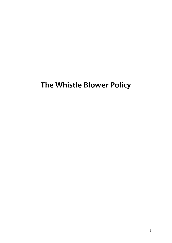# **The Whistle Blower Policy**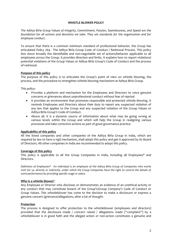#### **WHISTLE BLOWER POLICY**

*The Aditya Birla Group Values of Integrity, Commitment, Passion, Seamlessness, and Speed are the foundation for all actions and decisions we take. They set standards for the organization and for employee conduct.* 

To ensure that there is a common minimum standard of professional behavior, the Group has articulated Policy 769 - The Aditya Birla Group Code of Conduct / Redressal Process. This policy lists down broadly the identifiable and non-negotiable set of actions/behavior applicable to all employees across the Group. It provides direction and limits. It explains how to report violations/ potential violations of the Group Values or Aditya Birla Group's Code of Conduct and the process of redressal.

### **Purpose of this policy**

The purpose of this policy is to articulate the Group's point of view on whistle blowing, the process, and the procedure to strengthen whistle blowing mechanism at Aditya Birla Group.

This policy:

- Provides a platform and mechanism for the Employees and Directors to voice genuine concerns or grievances about unprofessional conduct without fear of reprisal
- It provides an environment that promotes responsible and protected whistle blowing. It reminds Employees and Directors about their duty to report any suspected violation of any law that applies to the Group and any suspected violation of the Group Values or Aditya Birla Group's Code of Conduct.
- Above all, it is a dynamic source of information about what may be going wrong at various levels within the Group and which will help the Group in realigning various processes and take corrective actions as part of good governance practice.

### **Applicability of this policy**

All the listed companies and other companies of the Aditya Birla Group in India, which are required by law to have a vigil mechanism, shall adopt this policy and get it approved by its Board of Directors. All other companies in India are recommended to adopt this policy.

### **Coverage of this policy**

This policy is applicable to all the Group Companies in India, including all Employees\* and Directors.

*Definition of Employees\* - An individual is an employee of the Aditya Birla Group of Companies who works 100% for us, directly or indirectly, under which the Group Companies have the right to control the details of work performance by providing specific wage or salary.*

### **Who is a whistle blower?**

Any Employee or Director who discloses or demonstrates an evidence of an unethical activity or any conduct that may constitute breach of the Group's/Group Company's Code of Conduct or Group Values. This whistleblower has come to the decision to make a disclosure or express a genuine concern /grievance/allegations, after a lot of thought.

### **Protection**

The process is designed to offer protection to the whistleblower (employees and directors) provided that the disclosure made / concern raised / allegations made ("complaint") by a whistleblower is in good faith and the alleged action or non-action constitutes a genuine and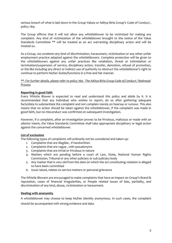serious breach of what is laid down in the Group Values or Aditya Birla Group's Code of Conduct , policy 769.

The Group affirms that it will not allow any whistleblower to be victimized for making any complaint. Any kind of victimization of the whistleblower brought to the notice of the Value Standards Committee \*\* will be treated as an act warranting disciplinary action and will be treated so.

As a Group, we condemn any kind of discrimination, harassment, victimization or any other unfair employment practice adopted against the whistleblowers. Complete protection will be given to the whistleblowers against any unfair practices like retaliation, threat or intimidation or termination/suspension of service, disciplinary action, transfer, demotion, refusal of promotion, or the like including any direct or indirect use of authority to obstruct the whistleblower's right to continue to perform his/her duties/functions in a free and fair manner.

### *\*\*- For further details, please refer to policy 769 - The Aditya Birla Group Code of Conduct / Redressal Process*

# **Reporting in good faith**

Every Whistle Blower is expected to read and understand this policy and abide by it. It is recommended that any individual who wishes to report, do so after gathering adequate facts/data to substantiate the complaint and not complain merely on hearsay or rumour. This also means that no action should be taken against the whistleblower, if the complaint was made in good faith, but no misconduct was confirmed on subsequent investigation.

However, if a complaint, after an investigation proves to be frivolous, malicious or made with an ulterior intent, the Value Standards Committee shall take appropriate disciplinary or legal action against the concerned whistleblower.

### **List of exclusions**

The following types of complaints will ordinarily not be considered and taken up:

- 1. Complaints that are Illegible , if handwritten
- 2. Complaints that are vague , with pseudonyms
- 3. Complaints that are trivial or frivolous in nature
- 4. Matters which are pending before a court of Law, State, National Human Rights Commission, Tribunal or any other judiciary or sub judiciary body
- 5. Any matter that is very old from the date on which the act constituting violation is alleged to have been committed
- 6. Issue raised, relates to service matters or personal grievance

The Whistle Blowers are encouraged to make complaints that have an impact on Group's Brand & reputation, cases of financial irregularities, or People related issues of bias, partiality, and discrimination of any kind, abuse, victimization or harassment.

### **Dealing with anonymity**

A whistleblower may choose to keep his/her identity anonymous. In such cases, the complaint should be accompanied with strong evidence and data.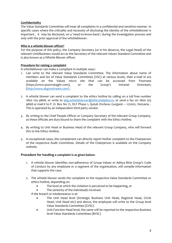# **Confidentiality**

The Value Standards Committee will treat all complaints in a confidential and sensitive manner. In specific cases where the criticality and necessity of disclosing the identity of the whistleblower is important , it may be disclosed, on a 'need-to-know-basis', during the investigation process and only with the prior approval of the whistleblower.

## **Who is a whistle blower officer?**

For the purpose of this policy, the Company Secretary (or in his absence, the Legal Head) of the relevant Unit/Business would act as the Secretary of the relevant Values Standard Committee and is also known as a Whistle Blower officer.

# **Procedure for raising a complaint**

A whistleblower can make a compliant in multiple ways:

- 1. Can write to the relevant Value Standards Committee. The information about name of members and list of Value Standards Committee (VSC) at various levels, their e-mail id are available on the Values micro site that can be accessed from Poornata [\(https://www.poornataghr.com\)](https://www.poornataghr.com/), or the Group's Intranet Onstream, (http://www.abgonstream.com) .
- 2. A whistle blower can send a complaint to the ethics hotline by calling on a toll free number 1800 103 9868, or write to [abg.whistleblower@ethicshelpline.in,](mailto:abg.whistleblower@ethicshelpline.in) or send a fax on 1800 103 9868 or mail it to P. O. Box No 71, DLF Phase 1, Qutub Enclave, Gurgaon - 122002, Haryana.. This is operated by an independent third party vendor.
- 3. By writing to the Chief People Officer or Company Secretary of the relevant Group Company, as these officials are duty bound to share the complaint with the Ethics Hotline.
- 4. By writing to Unit Head or Business Head of the relevant Group Company, who will forward this to the Ethics Hotline.
- 5. In exceptional cases, the complainant can directly report his/her complaint to the Chairperson of the respective Audit Committee. Details of the Chairperson is available on the Company website.

### **Procedure for handling a complaint is as given below:**

- 1. A whistle blower identifies non-adherence of Group Values or Aditya Birla Group's Code of Conduct by any employee or a segment of the organization, will compile information that supports the case.
- 2. The whistle blower sends the complaint to the respective Value Standards Committee or ethics hotline, depending on:
	- The level at which the violation is perceived to be happening, or
	- The seniority of the individual/s involved.
	- If the breach or misdemeanor is at:
		- The Unit Head level (Strategic Business Unit Head, Regional Head, Circle Head, Unit Head etc) and above, the employee will write to the Group level Value Standards Committee (GVSC)
		- Unit Function Head level, the same will be reported to the respective Business level Value Standards Committee (BVSC)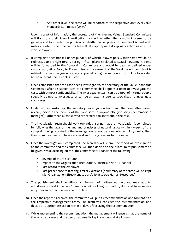- Any other level, the same will be reported to the respective Unit level Value Standards Committee (UVSC)
- *3.* Upon receipt of information, the secretary of the relevant Values Standard Committee will first do a preliminary investigation to check whether the complaint seems to be genuine and falls under the purview of whistle blower policy. If complaint is sent with malicious intent, then the committee will take appropriate disciplinary action against the whistle blower.
- 4. If complaint does not fall under purview of whistle blower policy, then same would be redirected to the right forum. For eg – If complaint is related to sexual harassment, same will be forwarded to the Complaints Committee and would be dealt as defined under circular no. 728. – Policy to Prevent Sexual Harassment at the Workplace If complaint is related to a personal grievance, e.g. appraisal rating, promotion etc, it will be forwarded to the relevant Chief People Officer.
- 5. Once established that the case needs investigation, the secretary of the Value Standards Committee after discussion with the committee shall appoint a team to investigate the case, with utmost confidentiality. The investigative team can be a pool of internal people specially trained to investigate or can be an external agency specialized to investigate such cases.
- 6. Under no circumstances, the secretary, investigation team and the committee would reveal / disclose the identity of the "accused" to anyone else (including the immediate manager) – other than all those who are required to know about the case.
- 7. The investigation team should work towards ensuring that the investigation is completed by following the laws of the land and principles of natural justice within 3 weeks of the complaint being reported. If the investigation cannot be completed within 3 weeks, then the committee needs to have very valid and strong reasons for the same.
- 8. Once the investigation is completed, the secretary will submit the report of investigation to the committee and the committee will then decide on the quantum of punishment to be given. While deciding on this, the committee will consider the following:
	- Severity of the misconduct
	- Impact on the Organization (Reputation, Financial / Non Financial)
	- Past record of the employee
	- Past precedence of treating similar violations (a summary of the same will be kept with Organization Effectiveness portfolio at Group Human Resources)
- 9. The punishment shall constitute a minimum of written warning and may lead to withdrawal of last increment/ demotion, withholding promotion, dismissal from service and/ or even prosecution in a court of law.
- 10. Once the report is received, the committee will put its recommendation and forward it to the respective Management team. The team will consider the recommendation and decide on appropriate action within 15 days of receiving the recommendation.
- 11. While implementing the recommendation, the management will ensure that the name of the whistle blower and the person accused is kept confidential at all times.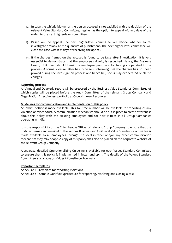- 12. In case the whistle blower or the person accused is not satisfied with the decision of the relevant Value Standard Committee, he/she has the option to appeal within 7 days of the order, to the next higher-level committee.
- 13. Based on the appeal, the next higher-level committee will decide whether to reinvestigate / relook at the quantum of punishment. The next higher-level committee will close the case within 21 days of receiving the appeal.
- 14. If the charges framed on the accused is found to be false after investigation, it is very essential to demonstrate that the employee's dignity is respected. Hence, the Business Head / Unit Head should thank the employee personally for having cooperated in the process. A formal closure letter has to be sent informing that the charges has not been proved during the investigation process and hence he / she is fully exonerated of all the charges.

#### **Reporting process**

An Annual and Quarterly report will be prepared by the Business Value Standards Committee of which copies will be placed before the Audit Committee of the relevant Group Company and Organization Effectiveness portfolio at Group Human Resources.

#### **Guidelines for communication and implementation of this policy**

An ethics hotline is made available. This toll free number will be available for reporting of any violation or misconduct. A communication mechanism should be put in place to create awareness about this policy with the existing employees and for new joinees in all Group Companies operating in India.

It is the responsibility of the Chief People Officer of relevant Group Company to ensure that the updated names and email id of the various Business and Unit level Value Standards Committee is made available to all employees through the local intranet and/or any other communication mechanism they may adopt. A copy of this policy shall also be placed on the corporate website of the relevant Group Company.

A separate, detailed Operationalizing Guideline is available for each Values Standard Committee to ensure that this policy is implemented in letter and spirit. The details of the Values Standard Committee is available on Values Microsite on Poornata.

#### **Important Templates**

Annexure 1 – Template for reporting violations Annexure 2 – Sample workflow /procedure for reporting, resolving and closing a case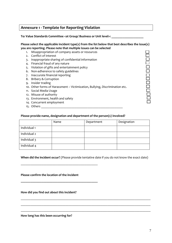# **Annexure 1 - Template for Reporting Violation**

To: Value Standards Committee <at Group/ Business or Unit level>:

#### **Please select the applicable incident type(s) from the list below that best describes the issue(s) you are reporting. Please note that multiple issues can be selected**

- 1. Misappropriation of company assets or resources
- 2. Conflict of interest
- 3. Inappropriate sharing of confidential information
- 4. Financial fraud of any nature
- 5. Violation of gifts and entertainment policy
- 6. Non-adherence to safety guidelines
- 7. Inaccurate financial reporting
- 8. Bribery & Corruption
- 9. Insider trading
- 10. Other forms of Harassment Victimization, Bullying, Discrimination etc.
- 11. Social Media Usage
- 12. Misuse of authority
- 13. Environment, health and safety
- 14. Concurrent employment
- 15. Others \_\_\_\_\_\_\_\_\_\_\_\_\_\_\_\_\_\_\_\_\_\_\_\_\_\_\_\_\_\_\_\_\_\_\_\_\_\_\_\_\_\_\_\_\_\_\_\_\_\_\_

### **Please provide name, designation and department of the person(s) involved?**

|              | Name | Department | Designation |
|--------------|------|------------|-------------|
| Individual 1 |      |            |             |
| Individual 2 |      |            |             |
| Individual 3 |      |            |             |
| Individual 4 |      |            |             |

**When did the incident occur?** (Please provide tentative date if you do not know the exact date)

\_\_\_\_\_\_\_\_\_\_\_\_\_\_\_\_\_\_\_\_\_\_\_\_\_\_\_\_\_\_\_\_\_\_\_\_\_\_\_\_\_\_\_\_\_\_\_\_\_\_\_\_\_\_\_\_\_\_\_\_\_\_\_\_\_\_\_\_\_\_\_\_\_\_\_\_\_\_\_\_\_

\_\_\_\_\_\_\_\_\_\_\_\_\_\_\_\_\_\_\_\_\_\_\_\_\_\_\_\_\_\_\_\_\_\_\_\_\_\_\_\_\_\_\_\_\_\_\_\_\_\_\_\_\_\_\_\_\_\_\_\_\_\_\_\_\_\_\_\_\_\_\_\_\_\_\_\_\_\_\_\_\_

\_\_\_\_\_\_\_\_\_\_\_\_\_\_\_\_\_\_\_\_\_\_\_\_\_\_\_\_\_\_\_\_\_\_\_\_\_\_\_\_\_\_\_\_\_\_\_\_\_\_\_\_\_\_\_\_\_\_\_\_\_\_\_\_\_\_\_\_\_\_\_\_\_\_\_\_\_\_\_\_\_

**Please confirm the location of the incident** 

\_\_\_\_\_\_\_\_\_\_\_\_\_\_\_\_\_\_\_\_\_\_\_\_\_\_\_\_\_\_\_\_\_\_\_\_\_\_\_\_\_\_\_\_\_\_\_\_

**\_\_\_\_\_\_\_\_\_\_\_\_\_\_\_\_\_\_\_\_\_\_\_\_\_\_\_\_\_\_\_\_\_\_\_\_\_\_\_\_\_\_\_\_\_\_\_\_**

**How did you find out about this incident?**

**How long has this been occurring for?**

8<br>8

 $\bar{\Xi}$ 

000001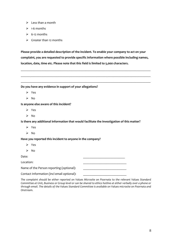- $\triangleright$  Less than a month
- $\geq 1$ -6 months
- $\geq$  6-12 months
- $\triangleright$  Greater than 12 months

**Please provide a detailed description of the incident. To enable your company to act on your complaint, you are requested to provide specific information where possible including names, location, date, time etc. Please note that this field is limited to 5,000 characters.**

\_\_\_\_\_\_\_\_\_\_\_\_\_\_\_\_\_\_\_\_\_\_\_\_\_\_\_\_\_\_\_\_\_\_\_\_\_\_\_\_\_\_\_\_\_\_\_\_\_\_\_\_\_\_\_\_\_\_\_\_\_\_\_\_\_\_\_\_\_\_\_\_\_\_\_\_\_\_\_\_\_

\_\_\_\_\_\_\_\_\_\_\_\_\_\_\_\_\_\_\_\_\_\_\_\_\_\_\_\_\_\_\_\_\_\_\_\_\_\_\_\_\_\_\_\_\_\_\_\_\_\_\_\_\_\_\_\_\_\_\_\_\_\_\_\_\_\_\_\_\_\_\_\_\_\_\_\_\_\_\_\_\_

\_\_\_\_\_\_\_\_\_\_\_\_\_\_\_\_\_\_\_\_\_\_\_\_\_\_\_\_\_\_\_\_\_\_\_\_\_\_\_\_\_\_\_\_\_\_\_\_\_\_\_\_\_\_\_\_\_\_\_\_\_\_\_\_\_\_\_\_\_\_\_\_\_\_\_\_\_\_\_\_\_

**Do you have any evidence in support of your allegations?**

- Yes
- $\triangleright$  No

**Is anyone else aware of this incident?**

- Yes
- $\triangleright$  No

**Is there any additional information that would facilitate the investigation of this matter?**

- Yes
- $\triangleright$  No

**Have you reported this incident to anyone in the company?**

- Yes
- $\triangleright$  No

Date: \_\_\_\_\_\_\_\_\_\_\_\_\_\_\_\_\_\_\_\_\_\_\_\_\_\_

Location: \_\_\_\_\_\_\_\_\_\_\_\_\_\_\_\_\_\_\_\_\_\_\_\_\_\_\_

Name of the Person reporting (optional):

Contact Information (incl email optional):

*The complaint should be either reported on Values Microsite on Poornata to the relevant Values Standard Committee at Unit, Business or Group level or can be shared to ethics hotline at either verbally over a phone or through email. The details of the Values Standard Committee is available on Values microsite on Poornata and Onstream.*